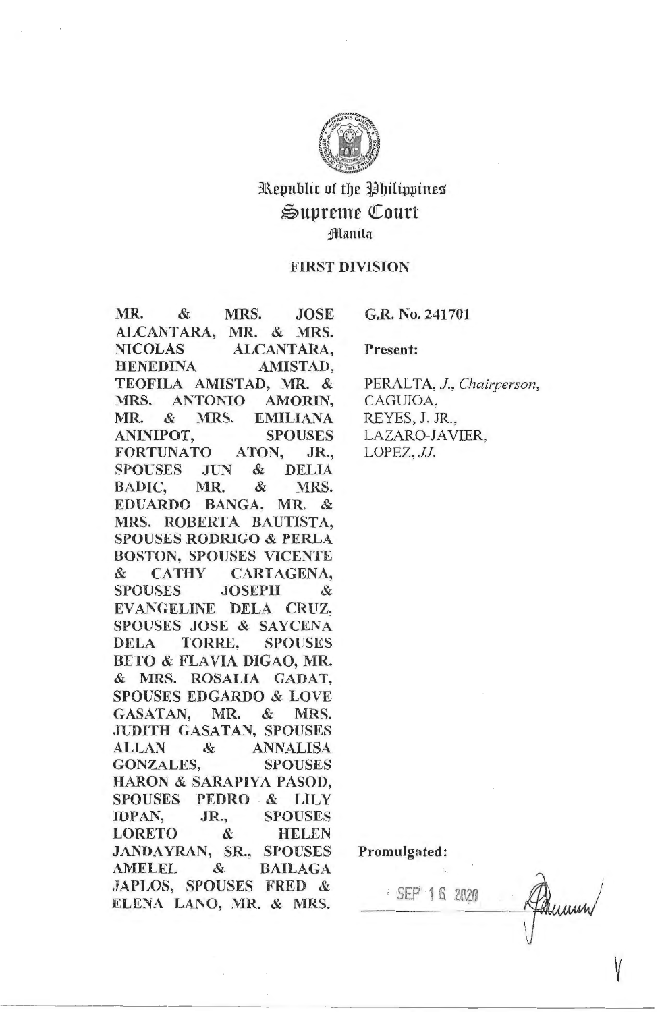

# Republic of the Philippines  $\mathfrak{S}$ upreme Court fflamila

## FIRST DIVISION

MR. & MRS. JOSE ALCANTARA, MR. & MRS. NICOLAS ALCANTARA, HENEDINA AMISTAD, TEOFILA AMISTAD, MR. & MRS. ANTONIO AMORIN, MR. & MRS. EMILIANA ANINIPOT, SPOUSES FORTUNATO ATON, JR., SPOUSES JUN & DELIA BADIC, MR. & MRS. EDUARDO BANGA, MR. & MRS. ROBERTA BAUTISTA, SPOUSES **RODRIGO** & PERLA BOSTON, SPOUSES VICENTE & CATHY CARTAGENA, SPOUSES JOSEPH & EV ANGELINE DELA CRUZ, SPOUSES JOSE & SAYCENA DELA TORRE, SPOUSES BETO & FLAVIA DIGAO, MR. & MRS. ROSALIA GADAT, SPOUSES EDGARDO & LOVE GASATAN, MR. & MRS. JUDITH GASATAN, SPOUSES ALLAN & ANNALISA GONZALES, SPOUSES HARON & SARAPIYA PASOD, SPOUSES PEDRO & LILY IDPAN, JR., SPOUSES LORETO & HELEN JANDAYRAN, SR., SPOUSES AMELEL & BAILAGA JAPLOS, SPOUSES FRED & ELENA LANO, MR. & MRS.

G.R. No. 241701

Present:

PERALTA, J., Chairperson, CAGUIOA, REYES, J. JR., LAZARO-JAVIER, LOPEZ, *JJ.* 

Promulgated:

· SEP 1 6. 2020

V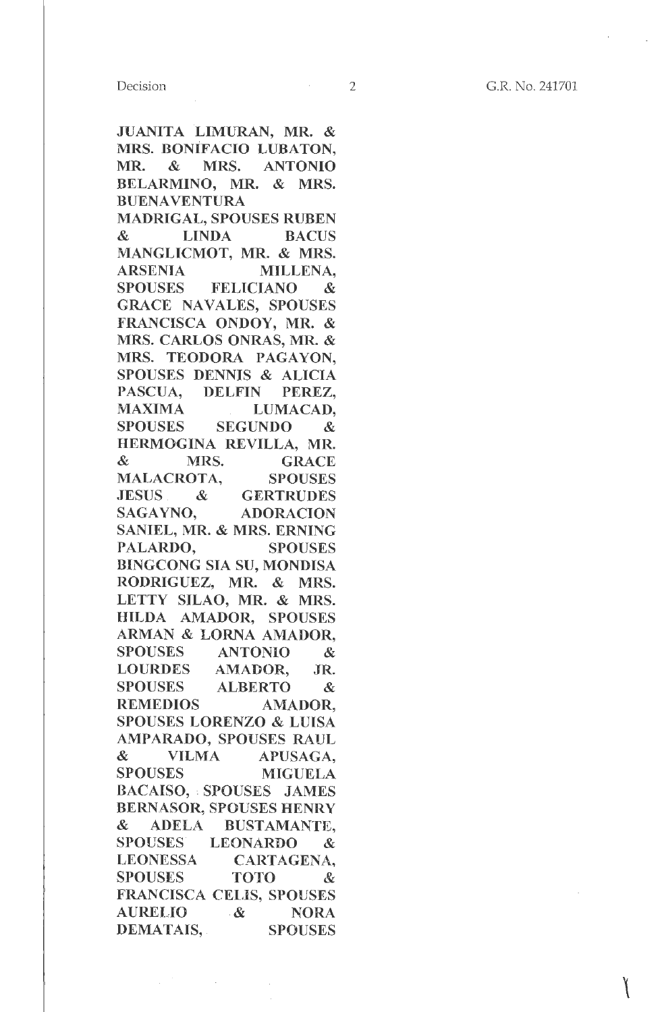JUANITA LIMURAN, MR. & **MRS. BONIFACIO LUBATON,**  MR. & MRS. ANTONIO BELARMINO, MR. & MRS. BUENAVENTURA

MADRIGAL, SPOUSES RUBEN & LINDA BACUS MANGLICMOT, MR. & MRS. ARSENIA MILLENA, SPOUSES FELICIANO & GRACE NAVALES, SPOUSES FRANCISCA ONDOY, MR. & MRS. CARLOS ONRAS, MR. & MRS. TEODORA PAGAYON, SPOUSES DENNIS & ALICIA PASCUA, DELFIN PEREZ, MAXIMA LUMACAD, SPOUSES SEGUNDO & HERMOGINA REVILLA, MR. & MRS. GRACE MALACROTA, SPOUSES JESUS & GERTRUDES SAGAYNO, ADORACION SANIEL, MR. & MRS. ERNING PALARDO, SPOUSES BINGCONG SIA SU, MONDISA RODRIGUEZ, MR. & MRS. LETTY SILAO, MR. & MRS. HILDA AMADOR, SPOUSES ARMAN & LORNA AMADOR, SPOUSES ANTONIO & LOURDES AMADOR, JR. SPOUSES ALBERTO & REMEDIOS AMADOR, SPOUSES LORENZO & LUISA AMPARADO, SPOUSES RAUL & VILMA APUSAGA, SPOUSES MIGUELA BACAISO, • SPOUSES JAMES BERNASOR, SPOUSES **HENRY**  & ADELA BUSTAMANTE, SPOUSES LEONARDO & LEONESSA CARTAGENA, SPOUSES TOTO & FRANCISCA CELIS, SPOUSES AURELIO .& NORA DEMATAIS, SPOUSES

 $\mathcal{L}_{\mathrm{c}}$ 

 $\sim 10^{-11}$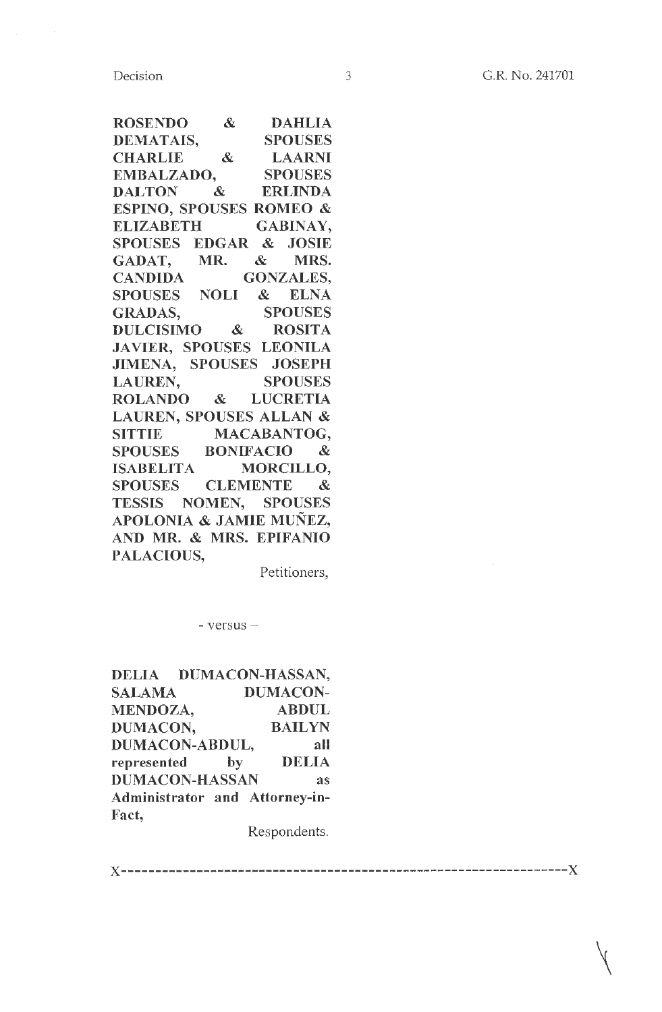Decision

ROSENDO & DAHLIA DEMATAIS, SPOUSES CHARLIE & LAARNI EMBALZADO, SPOUSES DALTON & ERLINDA ESPINO, SPOUSES ROMEO & ELIZABETH GABINAY, SPOUSES EDGAR & JOSIE GADAT, MR. & MRS. CANDIDA GONZALES, SPOUSES NOLI & ELNA GRADAS, SPOUSES DULCISIMO & ROSITA JAVIER, SPOUSES LEONILA JIMENA, SPOUSES JOSEPH LAUREN, SPOUSES ROLANDO & LUCRETIA LAUREN, SPOUSES ALLAN & SITTIE MACABANTOG, SPOUSES BONIFACIO & ISABELITA MORCILLO, SPOUSES CLEMENTE & TESSIS NOMEN, SPOUSES APOLONIA & JAMIE MUNEZ, AND MR. & MRS. EPIFANIO PALACIOUS,

Petitioners,

 $-$  versus  $-$ 

DELIA DUMACON-HASSAN, SALAMA DUMACON-MENDOZA, ABDUL DUMACON, BAILYN DUMACON-ABDUL, all represented by DELIA DUMACON-HASSAN as Administrator and Attorney-in-Fact,

Respondents.

 $~\cdot$ 

x-----------------------------------------------------------------x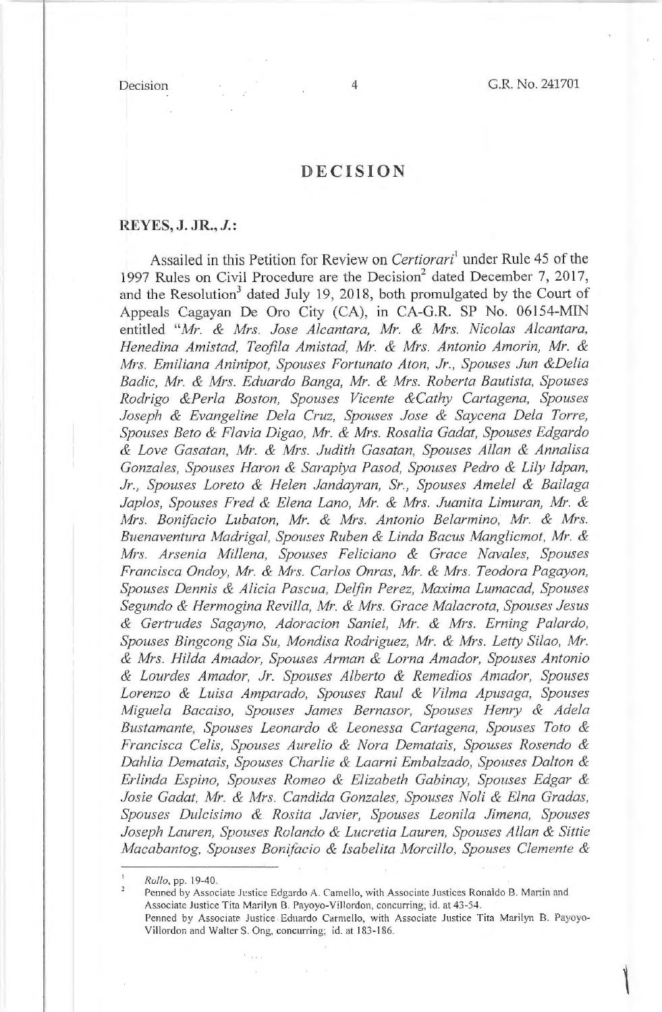## **DECISION**

## **REYES, J. JR., J.:**

Assailed in this Petition for Review on *Certiorari'* under Rule 45 of the 1997 Rules on Civil Procedure are the Decision<sup>2</sup> dated December 7, 2017, and the Resolution<sup>3</sup> dated July 19, 2018, both promulgated by the Court of Appeals Cagayan De Oro City (CA), in CA-G.R. SP No. 06154-MIN entitled *"Mr. & Mrs. Jose Alcantara, Mr. & Mrs. Nicolas Alcantara, Henedina Amistad, Teofila Amistad, Mr. & Mrs. Antonio Amorin, Mr. & Mrs. Emiliana Aninipot, Spouses Fortunato Aton, Jr. , Spouses Jun &Delia Badie, Mr. & Mrs. Eduardo Banga, Mr. & Mrs. Roberta Bautista, Spouses Rodrigo &Perla Boston, Spouses Vicente &Cathy Cartagena, Spouses Joseph & Evangeline Dela Cruz, Spouses Jose & Saycena Dela Torre, Spouses Beto & Flavia Digao, Mr. & Mrs. Rosalia Gadat, Spouses Edgardo*  & *Love Gasatan, Mr.* & *Mrs. Judith Gasatan, Spouses Allan* & *Annalisa*  Gonzales, Spouses Haron & Sarapiya Pasod, Spouses Pedro & Lily Idpan, *Jr., Spouses Loreto & Helen Jandayran, Sr., Spouses Amelel & Bailaga Japlos, Spouses Fred & Elena Lano, Mr. & Mrs. Juanita Limuran, Mr. & Nfrs. Bonifacio Lubaton, Mr. & Mrs. Antonio Belarmino, Mr. & Mrs. Buenaventura Madrigal, Spouses Ruben & Linda Bacus Manglicmot, Mr. &*  Mrs. Arsenia Millena, Spouses Feliciano & Grace Navales, Spouses *Francisca Ondoy, Mr. & Mrs. Carlos Onras, Mr. & Mrs. Teodora Pagayon, Spouses Dennis & Alicia Pascua, Delfin Perez, Maxima Lumacad, Spouses Segundo & .Hermogina Revilla, Mr. & Mrs. Grace Malacrota, Spouses Jesus & Gertrudes Sagayno, Adoracion Saniel, Mr. & Mrs. Erning Palardo, Spouses Bingcong Sia Su, Mondisa Rodriguez, Mr. & Mrs. Letty Silao, Mr. & M,-s. Hilda Amador, Spouses Arman & Lorna Amador, Spouses Antonio & Lourdes Amador, Jr. Spouses Alberto & Remedios Amador, Spouses Lorenzo & Luisa Amparado, Spouses Raul & Vilma Apusaga, Spouses Miguela Bacaiso, Spouses James Bernasor, Spouses Henry & Adela Bustamante, Spouses Leonardo & Leonessa Cartagena, Spouses Toto & Francisca Celis, Spouses Aurelio & Nora Dematais, Spouses Rosendo & Dahlia Dematais, Spouses Charlie & Laarni Embalzado, Spouses Dalton & Erlinda Espino, Spouses Romeo & Elizabeth Gabinay, Spouses Edgar &*  Josie Gadat, Mr. & Mrs. Candida Gonzales, Spouses Noli & Elna Gradas, *Spouses Dulcisimo & Rosita Javier, Spouses Leonila Jimena, Spouses Joseph Lauren, Spouses Rolando & Lucretia Lauren, Spouses Allan & Sittie Macabantog, Spouses Bon{facio & Isabelita Morcillo, Spouses Clemente &* 

Penned by Associate Justice Edgardo A. Camello, with Associate Justices Ronaldo B. Martin and Associate Justice Tita Marilyn B. Payoyo-Villordon, concurring; id. at 43-54. Penned by Associate Justice Eduardo Carmello, with Associate Justice Tita Marilyn B. Payoyo-Villordon and Walter S. Ong, concurring; id. at 183-186.

*Rollo,* pp. 19-40.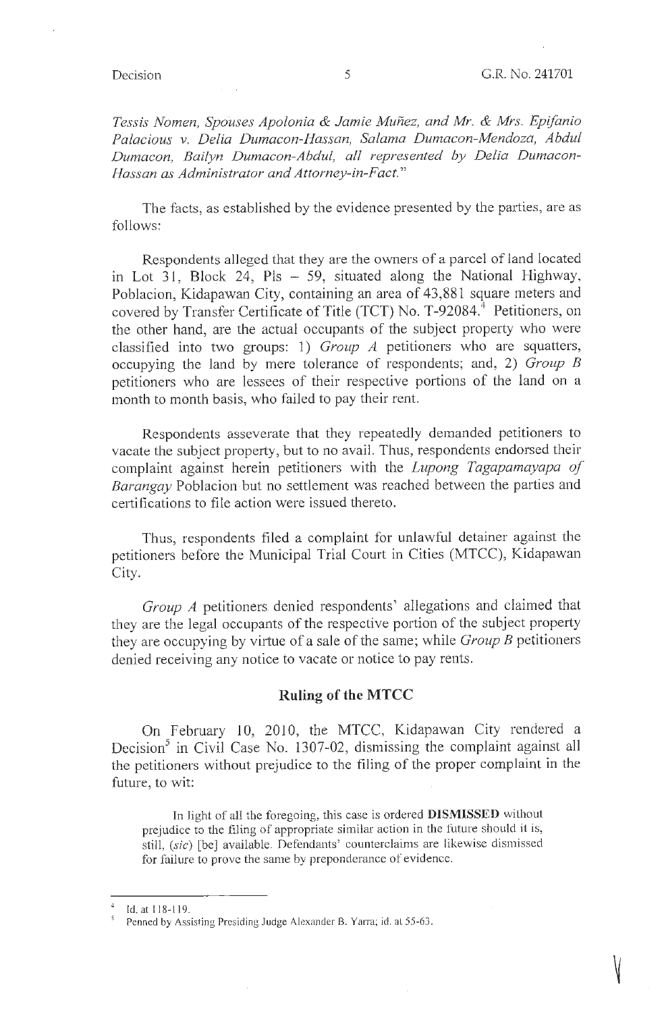V

*Tessis Nomen, Spouses Apolonia & Jamie Munez, and Mr. & Mrs. Epifanio Palacious v. Delia Dumacon-Hassan, Salama Dwnacon-Mendoza, Abdul Dumacon, Bailyn Dumacon-Abdul, at! represented by Delia Dumacon-Hassan as Administrator and Attorney-in-Fact."* 

The facts, as established by the evidence presented by the parties, are as follows:

Respondents alleged that they are the owners of a parcel of land located in Lot 31, Block 24, Pls - 59, situated along the National Highway, Poblacion, Kidapawan City, containing an area of 43,881 square meters and covered by Transfer Certificate of Title (TCT) No. T-92084.<sup>4</sup> Petitioners, on the other hand, are the actual occupants of the subject property who were classified into two groups: 1) *Group* A petitioners who are squatters, occupying the land by mere tolerance of respondents; and, 2) *Group B*  petitioners who are lessees of their respective portions of the land on a month to month basis, who failed to pay their rent.

Respondents asseverate that they repeatedly demanded petitioners to vacate the subject property, but to no avail. Thus, respondents endorsed their complaint against herein petitioners with the *Lupong Tagapamayapa of Barangay* Poblacion but no settlement was reached between the parties and certifications to file action were issued thereto.

Thus, respondents filed a complaint for unlawful detainer against the petitioners before the Municipal Trial Court in Cities (MTCC), Kidapawan City.

*Group* A petitioners denied respondents' allegations and claimed that they are the legal occupants of the respective portion of the subject property they are occupying by virtue of a sale of the same; while *Group B* petitioners denied receiving any notice to vacate or notice to pay rents.

### **Ruling of the MTCC**

On February 10, 2010, the MTCC, Kidapawan City rendered a Decision<sup>5</sup> in Civil Case No. 1307-02, dismissing the complaint against all the petitioners without prejudice to the filing of the proper complaint in the future, to wit:

In light of all the foregoing, this case is ordered **DISMISSED** without prejudice to the filing of appropriate similar action in the future should it is, still, (sic) [be] available. Defendants' counterclaims are likewise dismissed for failure to prove the same by preponderance of evidence.

Id. at 118-119.

Penned by Assisting Presiding Judge Alexander B. Yarra; id. at 55-63.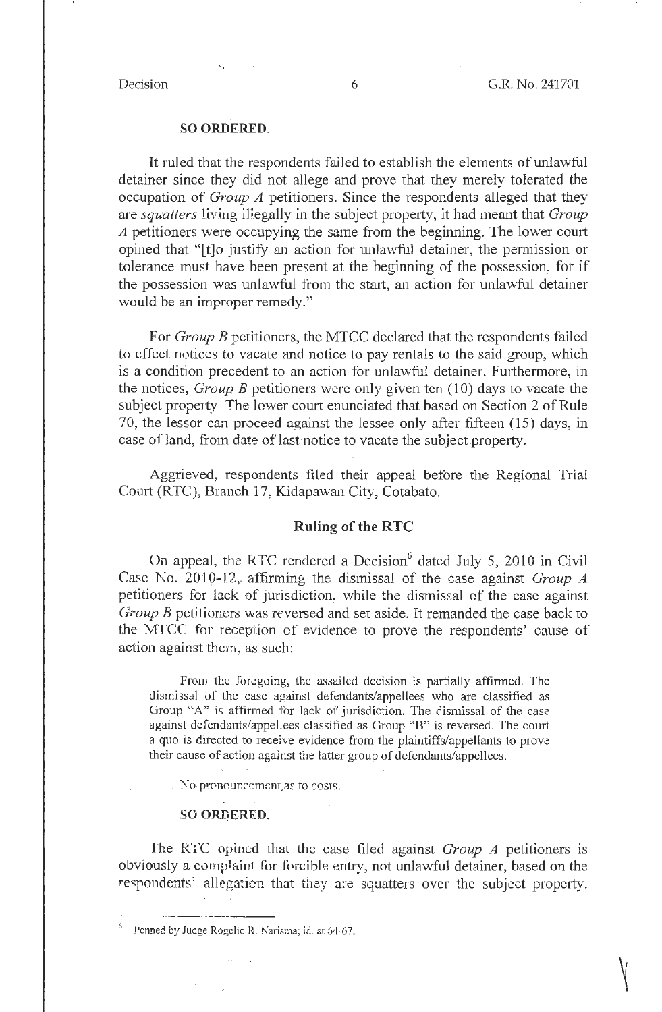### **SO ORDERED.**

It ruled that the respondents failed to establish the elements of unlawful detainer since they did not allege and prove that they merely tolerated the occupation of *Group A* petitioners. Since the respondents alleged that they are *squatters* living illegally in the subject property, it had meant that *Group A* petitioners were occupying the same from the beginning. The lower court opined that "[t]o justify an action for unlawful detainer, the permission or tolerance must have been present at the beginning of the possession, for if the possession was unlawful from the start, an action for unlawful detainer would be an improper remedy."

For *Group B* petitioners, the MTCC declared that the respondents failed to effect notices to vacate and notice to pay rentals to the said group, which is a condition precedent to an action for unlawful detainer. Furthermore, in the notices, *Group B* petitioners were only given ten (10) days to vacate the subject property. The lower court enunciated that based on Section 2 of Rule 70, the lessor can proceed against the lessee only after fifteen (15) days, in case of land, from date of last notice to vacate the subject property.

Aggrieved, respondents filed their appeal before the Regional Trial Court (RTC), Branch 17, Kidapawan City, Cotabato.

### **Ruling of the RTC**

On appeal, the RTC rendered a Decision<sup>6</sup> dated July 5, 2010 in Civil Case No. 2010-12, affirming the dismissal of the case against *Group A* petitioners for lack of jurisdiction, while the dismissal of the case against *Group B* petitioners was reversed and set aside. It remanded the case back to the MTCC for reception of evidence to prove the respondents' cause of action against them; as such:

From the foregoing, the assailed decision is partially affirmed. The dismissal of the case against defendants/appellees who are classified as Group "A" is affirmed for lack of jurisdiction. The dismissal of the case against defendants/appellees classified as Group "B" is reversed. The court a quo is directed to receive evidence from the plaintiffs/appellants to prove their cause of action against the latter group of defendants/appellees .

. No pronouncement as to costs.

### **SO ORDERED.**

The RTC opined that the case filed against *Group A* petitioners is obviously a complaint for forcible entry, not unlawful detainer, based on the respondents' ailegaticn that they are squatters over the subject property. ---·-- ·-------· ----- ---

Penned by Judge Rogelio R. Narisma; id. at 64-67.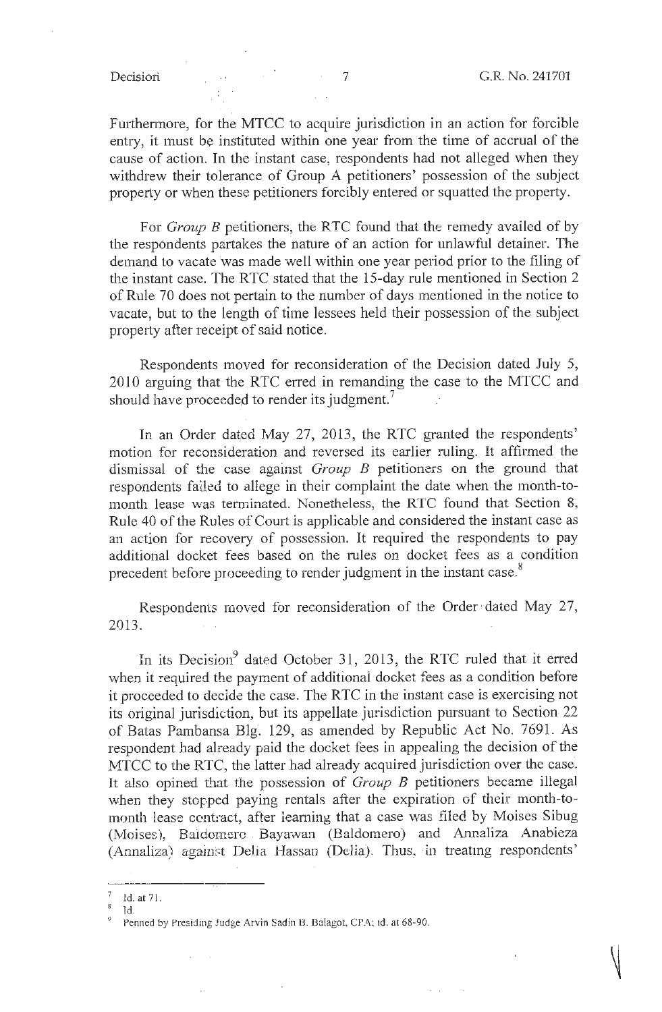Furthermore, for the MTCC to acquire jurisdiction in an action for forcible entry, it must be instituted within one year from the time of accrual of the cause of action. In the instant case, respondents had not alleged when they withdrew their tolerance of Group A petitioners' possession of the subject property or when these petitioners forcibly entered or squatted the property.

For *Group B* petitioners, the RTC found that the remedy availed of by the respondents partakes the nature of an action for unlawful detainer. The demand to vacate was made well within one year period prior to the filing of the instant case. The RTC stated that the 15-day rule mentioned in Section 2 of Rule 70 does not pertain to the number of days mentioned in the notice to vacate, but to the length of time lessees held their possession of the subject property after receipt of said notice.

Respondents moved for reconsideration of the Decision dated July 5, 2010 arguing that the RTC erred in remanding the case to the MTCC and should have proceeded to render its judgment.<sup>7</sup>

In an Order dated May 27, 2013, the RTC granted the respondents' motion for reconsideration and reversed its earlier ruling. It affirmed the dismissal of the case against *Group B* petitioners on the ground that respondents failed to allege in their complaint the date when the month-tomonth lease was terminated. Nonetheless, the RTC found that Section 8, Rule 40 of the Rules of Court is applicable and considered the instant case as an action for recovery of possession. It required the respondents to pay additional docket fees based on the rules on docket fees as a condition precedent before proceeding to render judgment in the instant case.<sup>8</sup>

Respondents moved for reconsideration of the Order dated May 27, 2013.  $\sim 10^{-1}$ 

In its Decision<sup>9</sup> dated October 31, 2013, the RTC ruled that it erred when it required the payment of additional docket fees as a condition before it proceeded to decide the case. The RTC in the instant case is exercising not its original jurisdiction, but its appellate jurisdiction pursuant to Section 22 of Batas Pambansa Blg. 129, as amended by Republic Act No. 7691. As respondent had already paid the docket fees in appealing the decision of the MTCC to the RTC, the latter had already acquired jurisdiction over the case. It also opined that the possession of *Group B* petitioners became illegal when they stopped paying rentals after the expiration of their month-tomonth lease contract, after learning that a case was filed by Moises Sibug (Moises), Baidomero Bayawan (Baldomero) and Annaliza Anabieza (Annaliza) against Delia Hassan (Delia). Thus, in treating respondents'

<sup>7</sup> Id. at 71.

Id.

Penned by Presiding Judge Arvin Sadin B. Balagot, CPA; 1d. at 68-90.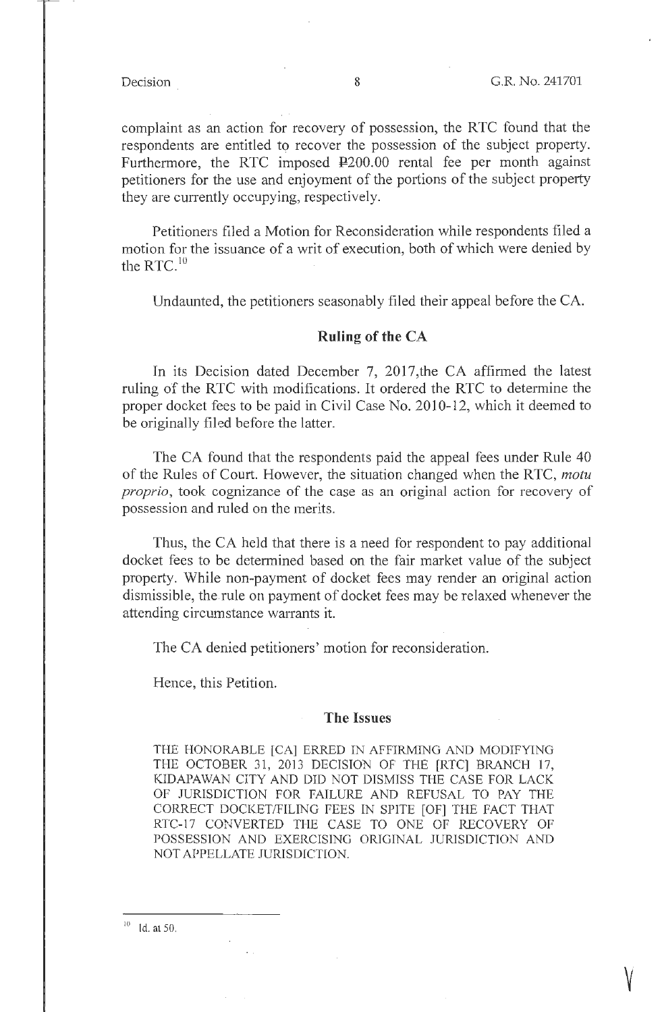**V** 

complaint as an action for recovery of possession, the RTC found that the respondents are entitled to recover the possession of the subject property. Furthermore, the RTC imposed  $\text{\textsterling}200.00$  rental fee per month against petitioners for the use and enjoyment of the portions of the subject property they are currently occupying, respectively.

Petitioners filed a Motion for Reconsideration while respondents filed a motion for the issuance of a writ of execution, both of which were denied by the RTC. $^{10}$ 

Undaunted, the petitioners seasonably filed their appeal before the CA.

## **Ruling of the CA**

In its Decision dated December 7, 2017, the CA affirmed the latest ruling of the RTC with modifications. It ordered the RTC to determine the proper docket fees to be paid in Civil Case No. 2010-12, which it deemed to be originally filed before the latter.

The CA found that the respondents paid the appeal fees under Rule 40 of the Rules of Court. However, the situation changed when the RTC, *motu proprio,* took cognizance of the case as an original action for recovery of possession and ruled on the merits.

Thus, the CA held that there is a need for respondent to pay additional docket fees to be detennined based on the fair market value of the subject property. While non-payment of docket fees may render an original action dismissible, the.rule on payment of docket fees may be relaxed whenever the attending circumstance warrants it.

The CA denied petitioners' motion for reconsideration.

Hence, this Petition.

## **The Issues**

THE HONORABLE [CA] ERRED IN AFFIRMING AND MODIFYING THE OCTOBER 31, 2013 DECISION OF THE [RTC] BRANCH 17, KIDAPAWAN CITY AND DID NOT DISMISS THE CASE FOR LACK OF JURISDICTION FOR FAILURE AND REFUSAL TO PAY THE CORRECT DOCKET/FILING FEES IN SPITE [OF] THE FACT THAT RTC-17 CONVERTED THE CASE TO ONE OF RECOVERY OF POSSESSION AND EXERCISING ORIGINAL JURISDICTION AND NOT APPELLATE JURISDICTION.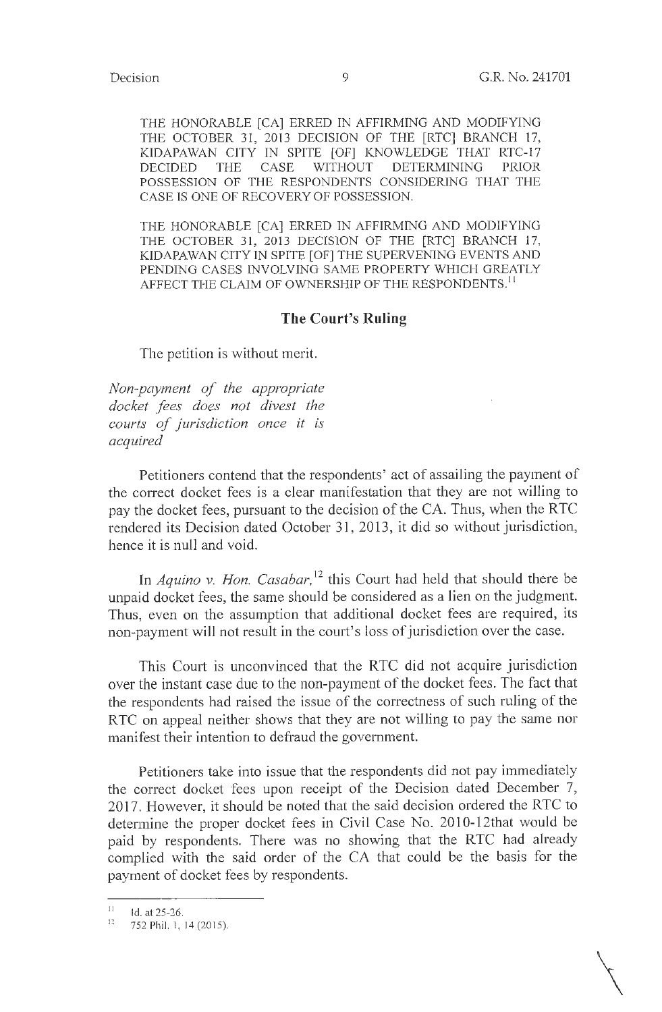$\bigg\}$ 

THE HONORABLE [CA] ERRED IN AFFIRMING AND MODIFYING THE OCTOBER 31, 2013 DECISION OF THE [RTC] BRANCH 17, KIDAPAWAN CITY IN SPITE [OF] KNOWLEDGE THAT RTC-17 DECIDED THE CASE WITHOUT DETERMINING PRIOR POSSESSION OF THE RESPONDENTS CONSIDERING THAT THE CASE IS ONE OF RECOVERY OF POSSESSION.

THE HONORABLE [CA] ERRED IN AFFIRMING AND MODIFYING THE OCTOBER 31, 2013 DECISION OF THE [RTC] BRANCH 17, KIDAPAWAN CITY IN SPITE [OF] THE SUPERVENING EVENTS AND PENDING CASES INVOLVING SAME PROPERTY WHICH GREATLY AFFECT THE CLAIM OF OWNERSHIP OF THE RESPONDENTS.<sup>11</sup>

## **The Court's Ruling**

The petition is without merit.

*Non-payment of the appropriate docket fees does not divest the courts of jurisdiction once it is acquired* 

Petitioners contend that the respondents' act of assailing the payment of the correct docket fees is a clear manifestation that they are not willing to pay the docket fees, pursuant to the decision of the CA. Thus, when the RTC rendered its Decision dated October 31, 2013, it did so without jurisdiction, hence it is null and void.

In *Aquino v. Hon. Casabar*,<sup>12</sup> this Court had held that should there be unpaid docket fees, the same should be considered as a lien on the judgment. Thus, even on the assumption that additional docket fees are required, its non-payment will not result in the court's loss of jurisdiction over the case.

This Court is unconvinced that the RTC did not acquire jurisdiction over the instant case due to the non-payment of the docket fees. The fact that the respondents had raised the issue of the correctness of such ruling of the RTC on appeal neither shows that they are not willing to pay the same nor manifest their intention to defraud the government.

Petitioners take into issue that the respondents did not pay immediately the correct docket fees upon receipt of the Decision dated December 7, 2017. However, it should be noted that the said decision ordered the RTC to determine the proper docket fees in Civil Case No. 2010-12that would be paid by respondents. There was no showing that the RTC had already complied with the said order of the CA that could be the basis for the payment of docket fees by respondents.

<sup>&</sup>lt;sup>11</sup> Id. at 25-26.

<sup>752</sup> Phil. 1, 14 (2015).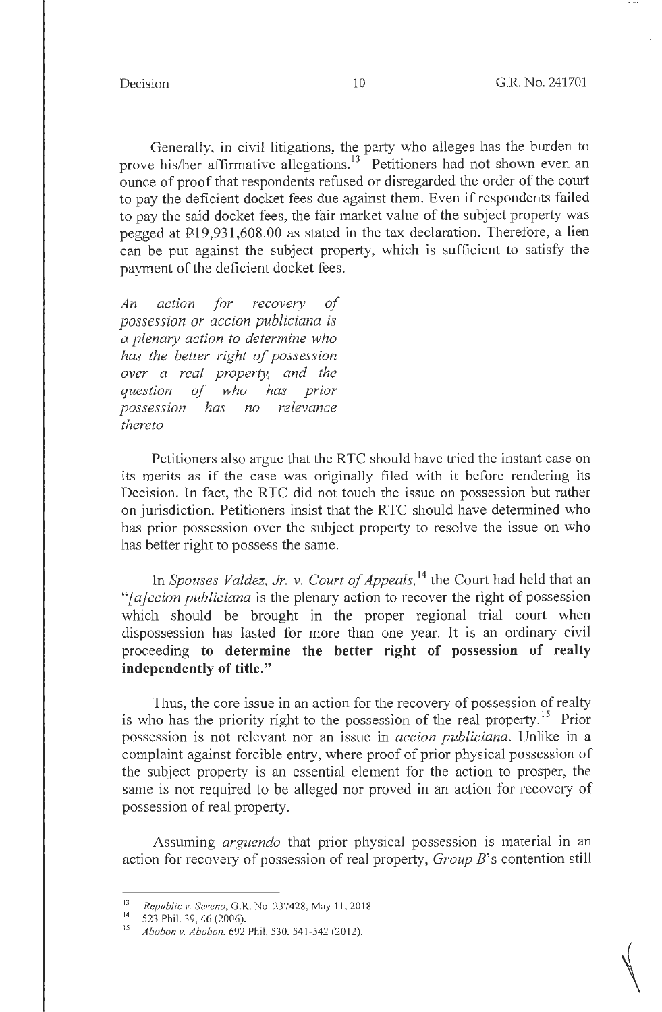Generally, in civil litigations, the party who alleges has the burden to prove his/her affirmative allegations.<sup>13</sup> Petitioners had not shown even an ounce of proof that respondents refused or disregarded the order of the court to pay the deficient docket fees due against them. Even if respondents failed to pay the said docket fees, the fair market value of the subject property was pegged at  $\overline{P}19,931,608.00$  as stated in the tax declaration. Therefore, a lien can be put against the subject property, which is sufficient to satisfy the payment of the deficient docket fees.

*An action for recovery of possession or accion publiciana is*   $a$  plenary action to determine who *has the better right of possession over a real property, and the question of who has prior possession has no relevance thereto* 

Petitioners also argue that the RTC should have tried the instant case on its merits as if the case was originally filed with it before rendering its Decision. In fact, the RTC did not touch the issue on possession but rather on jurisdiction. Petitioners insist that the R TC should have determined who has prior possession over the subject property to resolve the issue on who has better right to possess the same.

In *Spouses Valdez, Jr. v. Court of Appeals*,<sup>14</sup> the Court had held that an *"[a]ccion publiciana* is the plenary action to recover the right of possession which should be brought in the proper regional trial court when dispossession has lasted for more than one year. It is an ordinary civil proceeding **to determine the better right of possession of realty independently of title."** 

Thus, the core issue in an action for the recovery of possession of realty is who has the priority right to the possession of the real property.<sup>15</sup> Prior possession is not relevant nor an issue in *accion publiciana.* Unlike in a complaint against forcible entry, where proof of **prior** physical possession of the subject property is an essential element for the action to prosper, the same is not required to be alleged nor proved in an action for recovery of possession of real property.

Assuming *arguendo* that prior physical possession is material in an action for recovery of possession of real property, *Group* B's contention still

<sup>13</sup> Republic v. *Sereno*, G.R. No. 237428, May 11, 2018.<br>14 S23 Phil 20 A6 (2006)

<sup>523</sup> Phil. 39, 46 (2006).

<sup>15</sup>*Abobon v. Abobon,* 692 Phil. 530, 541-542(2012).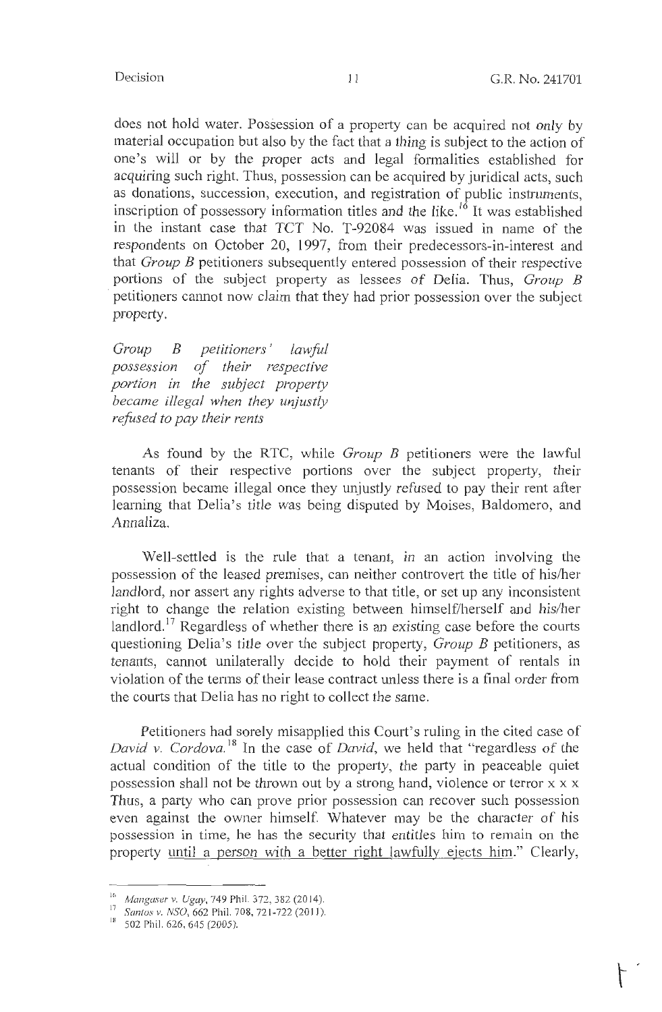does not hold water. Possession of a property can be acquired not only by material occupation but also by the fact that a thing is subject to the action of one's will or by the proper acts and legal formalities established for acquiring such right. Thus, possession can be acquired by juridical acts, such as donations, succession, execution, and registration of public instruments, inscription of possessory information titles and the like.<sup>16</sup> It was established in the instant case that TCT No. T-92084 was issued in name of the respondents on October 20, 1997, from their predecessors-in-interest and that *Group B* petitioners subsequently entered possession of their respective portions of the subject property as lessees of Delia. Thus, *Group* B petitioners cannot now claim that they had prior possession over the subject property.

*Group B petitioners* ' *lawful possession of their respective portion in the subject property became illegal when they unjustly refused to pay their rents* 

As found by the RTC, while *Group B* petitioners were the lawful tenants of their respective portions over the subject property, their possession became illegal once they unjustly refused to pay their rent after learning that Delia's title was being disputed by Moises, Baldomero, and Annaliza.

Well-settled is the rule that a tenant, in an action involving the possession of the leased premises, can neither controvert the title of his/her landlord, nor assert any rights adverse to that title, or set up any inconsistent right to change the relation existing between himself/herself and his/her landlord.<sup>17</sup> Regardless of whether there is an existing case before the courts questioning Delia's title over the subject property, *Group B* petitioners, as tenants, cannot unilaterally decide to hold their payment of rentals in violation of the terms of their lease contract unless there is a final order from the courts that Delia has no right to collect the same.

Petitioners had sorely misapplied this Court's ruling in the cited case of *David v. Cordova.*<sup>18</sup> In the case of *David*, we held that "regardless of the actual condition of the title to the property, the party in peaceable quiet possession shall not be thrown out by a strong hand, violence or terror x x x Thus, a party who can prove prior possession can recover such possession even against the owner himself. Whatever may be the character of his possession in time, he has the security that entitles him to remain on the property until a person with a better right lawfully ejects him." Clearly,

<sup>16</sup>*Mangaser v. Ugay,* 749 Phil. 372, 382 (2014).

<sup>17</sup>*Santos v. NSO,* 662 Phil. 708, 72 1-722 (201 1).

<sup>&</sup>lt;sup>18</sup> 502 Phil. 626, 645 (2005).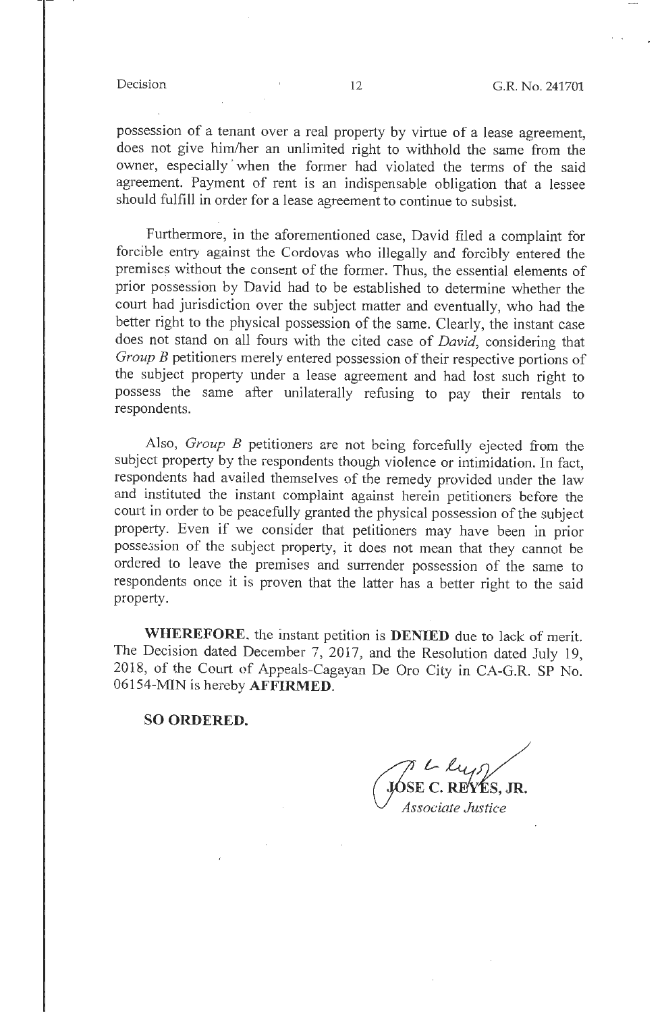possession of a tenant over a real property by virtue of a lease agreement, does not give him/her an unlimited right to withhold the same from the owner, especially ' when the former had violated the terms of the said agreement. Payment of rent is an indispensable obligation that a lessee should fulfill in order for a lease agreement to continue to subsist.

Furthermore, in the aforementioned case, David filed a complaint for forcible entry against the Cordovas who illegally and forcibly entered the premises without the consent of the former. Thus, the essential elements of prior possession by David had to be established to determine whether the court had jurisdiction over the subject matter and eventually, who had the better right to the physical possession of the same. Clearly, the instant case does not stand on all fours with the cited case of *David,* considering that *Group B* petitioners merely entered possession of their respective portions of the subject property under a lease agreement and had lost such right to possess the same after unilaterally refusing to pay their rentals to respondents.

Also, *Group B* petitioners are not being forcefully ejected from the subject property by the respondents though violence or intimidation. In fact, respondents had availed themselves of the remedy provided under the law and instituted the instant complaint against herein petitioners before the court in order to be peacefully granted the physical possession of the subject property. Even if we consider that petitioners may have been in prior possession of the subject property, it does not mean that they cannot be ordered to leave the premises and surrender possession of the same to respondents once it is proven that the latter has a better right to the said property.

**WHEREFORE.** the instant petition is **DENIED** due to lack of merit. The Decision dated December 7, 2017, and the Resolution dated July 19, 2018, of the Court of Appeals-Cagayan De Oro City in CA-G.R. SP No. 06154-MIN is hereby **AFFIRMED.** 

**SO ORDERED.** 

r L lus JÓSE C. REYÉS, JR. Associate Justice